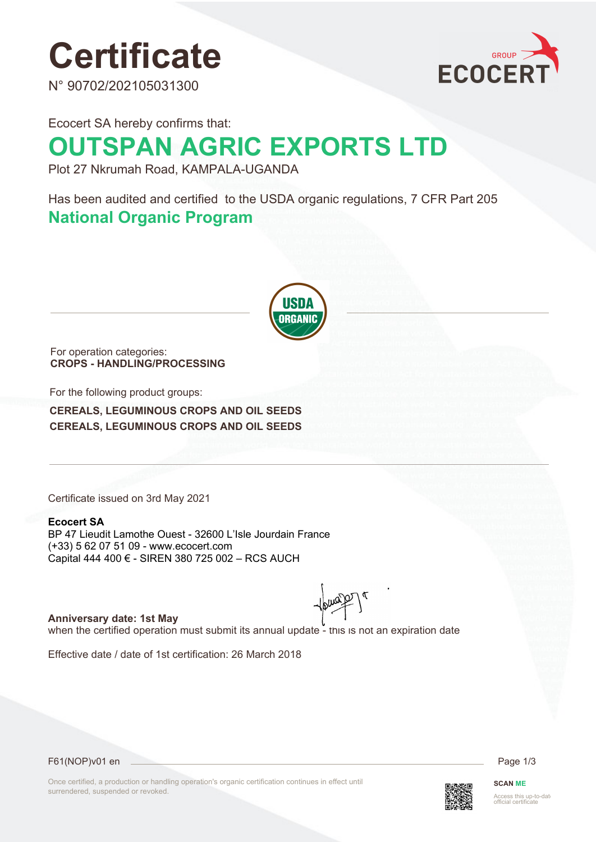# **Certificate**

N° 90702/202105031300



Ecocert SA hereby confirms that:

# **OUTSPAN AGRIC EXPORTS LTD**

Plot 27 Nkrumah Road, KAMPALA-UGANDA

Has been audited and certified to the USDA organic regulations, 7 CFR Part 205 **National Organic Program** 



For operation categories: **CROPS - HANDLING/PROCESSING**

For the following product groups:

**CEREALS, LEGUMINOUS CROPS AND OIL SEEDS CEREALS, LEGUMINOUS CROPS AND OIL SEEDS**

Certificate issued on 3rd May 2021

### **Ecocert SA**

BP 47 Lieudit Lamothe Ouest - 32600 L'Isle Jourdain France (+33) 5 62 07 51 09 - www.ecocert.com Capital 444 400 € - SIREN 380 725 002 – RCS AUCH

**Anniversary date: 1st May** when the certified operation must submit its annual update - this is not an expiration date

Effective date / date of 1st certification: 26 March 2018

F61(NOP)v01 en Page 1/3

Once certified, a production or handling operation's organic certification continues in effect until surrendered, suspended or revoked.



**SCAN ME** Access this up-to-dat<br>official certificate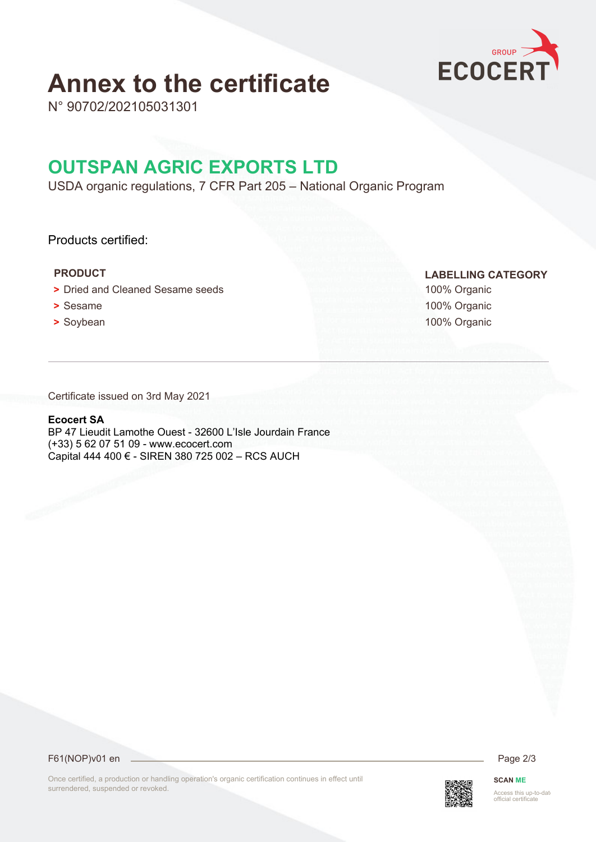

## **Annex to the certificate**

N° 90702/202105031301

## **OUTSPAN AGRIC EXPORTS LTD**

USDA organic regulations, 7 CFR Part 205 – National Organic Program

### Products certified:

- **•** Dried and Cleaned Sesame seeds 100% Organic
- 
- 

 **PRODUCT LABELLING CATEGORY**

**•** Sesame 100% Organic **•** Soybean 100% Organic

Certificate issued on 3rd May 2021

### **Ecocert SA**

BP 47 Lieudit Lamothe Ouest - 32600 L'Isle Jourdain France (+33) 5 62 07 51 09 - www.ecocert.com Capital 444 400 € - SIREN 380 725 002 – RCS AUCH

F61(NOP)v01 en 2/3

Once certified, a production or handling operation's organic certification continues in effect until surrendered, suspended or revoked.



**SCAN ME** Access this up-to-dat<br>official certificate